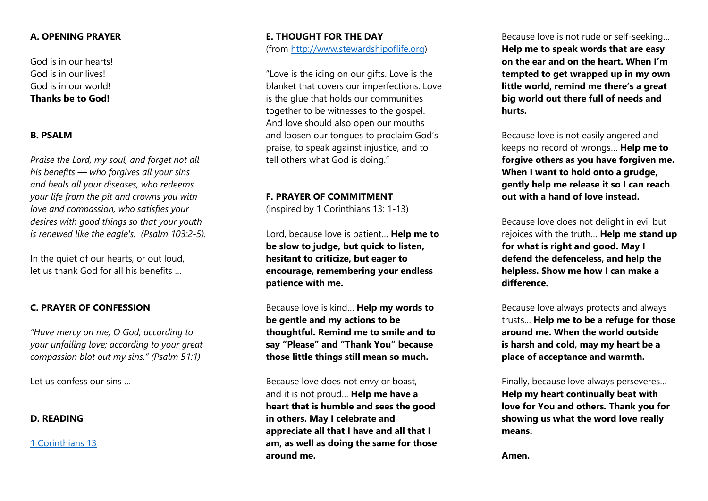## **A. OPENING PRAYER**

God is in our hearts! God is in our lives! God is in our world! **Thanks be to God!**

## **B. PSALM**

*Praise the Lord, my soul, and forget not all his benefits — who forgives all your sins and heals all your diseases, who redeems your life from the pit and crowns you with love and compassion, who satisfies your desires with good things so that your youth is renewed like the eagle's. (Psalm 103:2-5).*

In the quiet of our hearts, or out loud, let us thank God for all his benefits …

## **C. PRAYER OF CONFESSION**

*"Have mercy on me, O God, according to your unfailing love; according to your great compassion blot out my sins." (Psalm 51:1)*

Let us confess our sins …

## **D. READING**

[1 Corinthians 13](https://www.biblegateway.com/passage/?search=1+corinthians+13&version=NIVUK)

## **E. THOUGHT FOR THE DAY** (from [http://www.stewardshipoflife.org\)](http://www.stewardshipoflife.org/)

"Love is the icing on our gifts. Love is the blanket that covers our imperfections. Love is the glue that holds our communities together to be witnesses to the gospel. And love should also open our mouths and loosen our tongues to proclaim God's praise, to speak against injustice, and to tell others what God is doing."

#### **F. PRAYER OF COMMITMENT**

(inspired by 1 Corinthians 13: 1-13)

Lord, because love is patient… **Help me to be slow to judge, but quick to listen, hesitant to criticize, but eager to encourage, remembering your endless patience with me.**

Because love is kind… **Help my words to be gentle and my actions to be thoughtful. Remind me to smile and to say "Please" and "Thank You" because those little things still mean so much.**

Because love does not envy or boast, and it is not proud… **Help me have a heart that is humble and sees the good in others. May I celebrate and appreciate all that I have and all that I am, as well as doing the same for those around me.** 

Because love is not rude or self-seeking… **Help me to speak words that are easy on the ear and on the heart. When I'm tempted to get wrapped up in my own little world, remind me there's a great big world out there full of needs and hurts.**

Because love is not easily angered and keeps no record of wrongs… **Help me to forgive others as you have forgiven me. When I want to hold onto a grudge, gently help me release it so I can reach out with a hand of love instead.**

Because love does not delight in evil but rejoices with the truth… **Help me stand up for what is right and good. May I defend the defenceless, and help the helpless. Show me how I can make a difference.**

Because love always protects and always trusts… **Help me to be a refuge for those around me. When the world outside is harsh and cold, may my heart be a place of acceptance and warmth.**

Finally, because love always perseveres… **Help my heart continually beat with love for You and others. Thank you for showing us what the word love really means.** 

**Amen.**